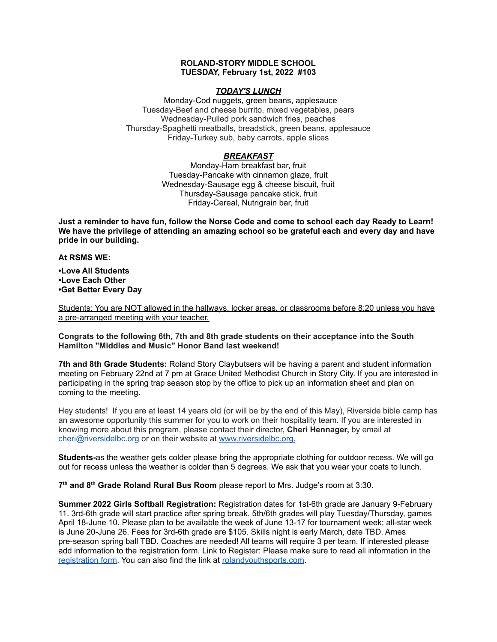# **ROLAND-STORY MIDDLE SCHOOL TUESDAY, February 1st, 2022 #103**

# *TODAY'S LUNCH*

Monday-Cod nuggets, green beans, applesauce Tuesday-Beef and cheese burrito, mixed vegetables, pears Wednesday-Pulled pork sandwich fries, peaches Thursday-Spaghetti meatballs, breadstick, green beans, applesauce Friday-Turkey sub, baby carrots, apple slices

# *BREAKFAST*

Monday-Ham breakfast bar, fruit Tuesday-Pancake with cinnamon glaze, fruit Wednesday-Sausage egg & cheese biscuit, fruit Thursday-Sausage pancake stick, fruit Friday-Cereal, Nutrigrain bar, fruit

Just a reminder to have fun, follow the Norse Code and come to school each day Ready to Learn! **We have the privilege of attending an amazing school so be grateful each and every day and have pride in our building.**

# **At RSMS WE:**

**•Love All Students •Love Each Other •Get Better Every Day**

Students: You are NOT allowed in the hallways, locker areas, or classrooms before 8:20 unless you have a pre-arranged meeting with your teacher.

**Congrats to the following 6th, 7th and 8th grade students on their acceptance into the South Hamilton "Middles and Music" Honor Band last weekend!**

**7th and 8th Grade Students:** Roland Story Claybutsers will be having a parent and student information meeting on February 22nd at 7 pm at Grace United Methodist Church in Story City. If you are interested in participating in the spring trap season stop by the office to pick up an information sheet and plan on coming to the meeting.

Hey students! If you are at least 14 years old (or will be by the end of this May), Riverside bible camp has an awesome opportunity this summer for you to work on their hospitality team. If you are interested in knowing more about this program, please contact their director, **Cheri Hennager,** by email at cheri@riversidelbc.org or on their website at [www.riversidelbc.org.](http://www.riversidelbc.org/)

**Students-**as the weather gets colder please bring the appropriate clothing for outdoor recess. We will go out for recess unless the weather is colder than 5 degrees. We ask that you wear your coats to lunch.

**7 th and 8 th Grade Roland Rural Bus Room** please report to Mrs. Judge's room at 3:30.

**Summer 2022 Girls Softball Registration:** Registration dates for 1st-6th grade are January 9-February 11. 3rd-6th grade will start practice after spring break. 5th/6th grades will play Tuesday/Thursday, games April 18-June 10. Please plan to be available the week of June 13-17 for tournament week; all-star week is June 20-June 26. Fees for 3rd-6th grade are \$105. Skills night is early March, date TBD. Ames pre-season spring ball TBD. Coaches are needed! All teams will require 3 per team. If interested please add information to the registration form. Link to Register: Please make sure to read all information in th[e](https://rolandyouthsports.com/summer-2022-softball-registration-form/) [registration](https://rolandyouthsports.com/summer-2022-softball-registration-form/) form. You can also find the link at [rolandyouthsports.com](http://rolandyouthsports.com/).